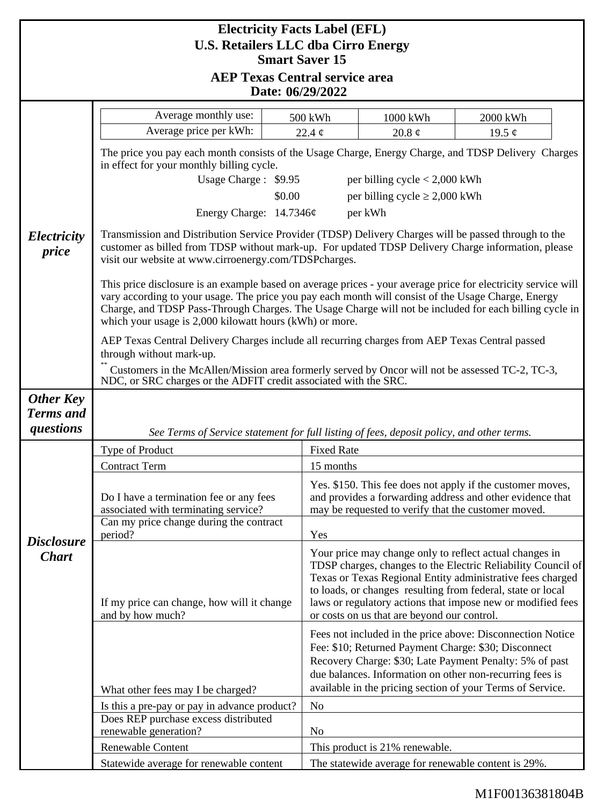| <b>Electricity Facts Label (EFL)</b><br><b>U.S. Retailers LLC dba Cirro Energy</b> |                                                                                                                                                                                                                                                                                                   |                                                                                                                                                                                                                                                                                                                                                                                           |                                                                                                                                                                                                                                                                                                                                                                    |                                                                                                                                                                                                                                                                                                         |  |
|------------------------------------------------------------------------------------|---------------------------------------------------------------------------------------------------------------------------------------------------------------------------------------------------------------------------------------------------------------------------------------------------|-------------------------------------------------------------------------------------------------------------------------------------------------------------------------------------------------------------------------------------------------------------------------------------------------------------------------------------------------------------------------------------------|--------------------------------------------------------------------------------------------------------------------------------------------------------------------------------------------------------------------------------------------------------------------------------------------------------------------------------------------------------------------|---------------------------------------------------------------------------------------------------------------------------------------------------------------------------------------------------------------------------------------------------------------------------------------------------------|--|
| <b>Smart Saver 15</b><br><b>AEP Texas Central service area</b>                     |                                                                                                                                                                                                                                                                                                   |                                                                                                                                                                                                                                                                                                                                                                                           |                                                                                                                                                                                                                                                                                                                                                                    |                                                                                                                                                                                                                                                                                                         |  |
| Date: 06/29/2022                                                                   |                                                                                                                                                                                                                                                                                                   |                                                                                                                                                                                                                                                                                                                                                                                           |                                                                                                                                                                                                                                                                                                                                                                    |                                                                                                                                                                                                                                                                                                         |  |
|                                                                                    | Average monthly use:                                                                                                                                                                                                                                                                              | 500 kWh                                                                                                                                                                                                                                                                                                                                                                                   | 1000 kWh                                                                                                                                                                                                                                                                                                                                                           | 2000 kWh                                                                                                                                                                                                                                                                                                |  |
|                                                                                    | Average price per kWh:                                                                                                                                                                                                                                                                            | 22.4 $\phi$                                                                                                                                                                                                                                                                                                                                                                               | 20.8 $\phi$                                                                                                                                                                                                                                                                                                                                                        | 19.5 $\phi$                                                                                                                                                                                                                                                                                             |  |
|                                                                                    | The price you pay each month consists of the Usage Charge, Energy Charge, and TDSP Delivery Charges<br>in effect for your monthly billing cycle.                                                                                                                                                  |                                                                                                                                                                                                                                                                                                                                                                                           |                                                                                                                                                                                                                                                                                                                                                                    |                                                                                                                                                                                                                                                                                                         |  |
|                                                                                    | Usage Charge: \$9.95<br>per billing cycle $< 2,000$ kWh<br>per billing cycle $\geq 2,000$ kWh<br>\$0.00                                                                                                                                                                                           |                                                                                                                                                                                                                                                                                                                                                                                           |                                                                                                                                                                                                                                                                                                                                                                    |                                                                                                                                                                                                                                                                                                         |  |
|                                                                                    | Energy Charge: 14.7346¢                                                                                                                                                                                                                                                                           | per kWh                                                                                                                                                                                                                                                                                                                                                                                   |                                                                                                                                                                                                                                                                                                                                                                    |                                                                                                                                                                                                                                                                                                         |  |
|                                                                                    |                                                                                                                                                                                                                                                                                                   |                                                                                                                                                                                                                                                                                                                                                                                           |                                                                                                                                                                                                                                                                                                                                                                    |                                                                                                                                                                                                                                                                                                         |  |
| Electricity<br>price                                                               | Transmission and Distribution Service Provider (TDSP) Delivery Charges will be passed through to the<br>customer as billed from TDSP without mark-up. For updated TDSP Delivery Charge information, please<br>visit our website at www.cirroenergy.com/TDSPcharges.                               |                                                                                                                                                                                                                                                                                                                                                                                           |                                                                                                                                                                                                                                                                                                                                                                    |                                                                                                                                                                                                                                                                                                         |  |
|                                                                                    |                                                                                                                                                                                                                                                                                                   | This price disclosure is an example based on average prices - your average price for electricity service will<br>vary according to your usage. The price you pay each month will consist of the Usage Charge, Energy<br>Charge, and TDSP Pass-Through Charges. The Usage Charge will not be included for each billing cycle in<br>which your usage is 2,000 kilowatt hours (kWh) or more. |                                                                                                                                                                                                                                                                                                                                                                    |                                                                                                                                                                                                                                                                                                         |  |
|                                                                                    | AEP Texas Central Delivery Charges include all recurring charges from AEP Texas Central passed<br>through without mark-up.<br>Customers in the McAllen/Mission area formerly served by Oncor will not be assessed TC-2, TC-3,<br>NDC, or SRC charges or the ADFIT credit associated with the SRC. |                                                                                                                                                                                                                                                                                                                                                                                           |                                                                                                                                                                                                                                                                                                                                                                    |                                                                                                                                                                                                                                                                                                         |  |
|                                                                                    |                                                                                                                                                                                                                                                                                                   |                                                                                                                                                                                                                                                                                                                                                                                           |                                                                                                                                                                                                                                                                                                                                                                    |                                                                                                                                                                                                                                                                                                         |  |
| <b>Other Key</b>                                                                   |                                                                                                                                                                                                                                                                                                   |                                                                                                                                                                                                                                                                                                                                                                                           |                                                                                                                                                                                                                                                                                                                                                                    |                                                                                                                                                                                                                                                                                                         |  |
| <b>Terms</b> and<br>questions                                                      |                                                                                                                                                                                                                                                                                                   |                                                                                                                                                                                                                                                                                                                                                                                           |                                                                                                                                                                                                                                                                                                                                                                    |                                                                                                                                                                                                                                                                                                         |  |
|                                                                                    | See Terms of Service statement for full listing of fees, deposit policy, and other terms.<br>Type of Product<br><b>Fixed Rate</b>                                                                                                                                                                 |                                                                                                                                                                                                                                                                                                                                                                                           |                                                                                                                                                                                                                                                                                                                                                                    |                                                                                                                                                                                                                                                                                                         |  |
| <b>Disclosure</b><br><b>Chart</b>                                                  | <b>Contract Term</b>                                                                                                                                                                                                                                                                              | 15 months                                                                                                                                                                                                                                                                                                                                                                                 |                                                                                                                                                                                                                                                                                                                                                                    |                                                                                                                                                                                                                                                                                                         |  |
|                                                                                    | Do I have a termination fee or any fees<br>associated with terminating service?                                                                                                                                                                                                                   |                                                                                                                                                                                                                                                                                                                                                                                           | Yes. \$150. This fee does not apply if the customer moves,<br>and provides a forwarding address and other evidence that<br>may be requested to verify that the customer moved.                                                                                                                                                                                     |                                                                                                                                                                                                                                                                                                         |  |
|                                                                                    | Can my price change during the contract<br>period?                                                                                                                                                                                                                                                |                                                                                                                                                                                                                                                                                                                                                                                           | Yes                                                                                                                                                                                                                                                                                                                                                                |                                                                                                                                                                                                                                                                                                         |  |
|                                                                                    | If my price can change, how will it change<br>and by how much?                                                                                                                                                                                                                                    |                                                                                                                                                                                                                                                                                                                                                                                           | Your price may change only to reflect actual changes in<br>TDSP charges, changes to the Electric Reliability Council of<br>Texas or Texas Regional Entity administrative fees charged<br>to loads, or changes resulting from federal, state or local<br>laws or regulatory actions that impose new or modified fees<br>or costs on us that are beyond our control. |                                                                                                                                                                                                                                                                                                         |  |
|                                                                                    | What other fees may I be charged?                                                                                                                                                                                                                                                                 |                                                                                                                                                                                                                                                                                                                                                                                           |                                                                                                                                                                                                                                                                                                                                                                    | Fees not included in the price above: Disconnection Notice<br>Fee: \$10; Returned Payment Charge: \$30; Disconnect<br>Recovery Charge: \$30; Late Payment Penalty: 5% of past<br>due balances. Information on other non-recurring fees is<br>available in the pricing section of your Terms of Service. |  |
|                                                                                    | Is this a pre-pay or pay in advance product?                                                                                                                                                                                                                                                      | N <sub>0</sub>                                                                                                                                                                                                                                                                                                                                                                            |                                                                                                                                                                                                                                                                                                                                                                    |                                                                                                                                                                                                                                                                                                         |  |
|                                                                                    | Does REP purchase excess distributed<br>renewable generation?                                                                                                                                                                                                                                     | No                                                                                                                                                                                                                                                                                                                                                                                        |                                                                                                                                                                                                                                                                                                                                                                    |                                                                                                                                                                                                                                                                                                         |  |
|                                                                                    | Renewable Content                                                                                                                                                                                                                                                                                 |                                                                                                                                                                                                                                                                                                                                                                                           | This product is 21% renewable.                                                                                                                                                                                                                                                                                                                                     |                                                                                                                                                                                                                                                                                                         |  |
|                                                                                    | Statewide average for renewable content                                                                                                                                                                                                                                                           |                                                                                                                                                                                                                                                                                                                                                                                           | The statewide average for renewable content is 29%.                                                                                                                                                                                                                                                                                                                |                                                                                                                                                                                                                                                                                                         |  |

## M1F00136381804B